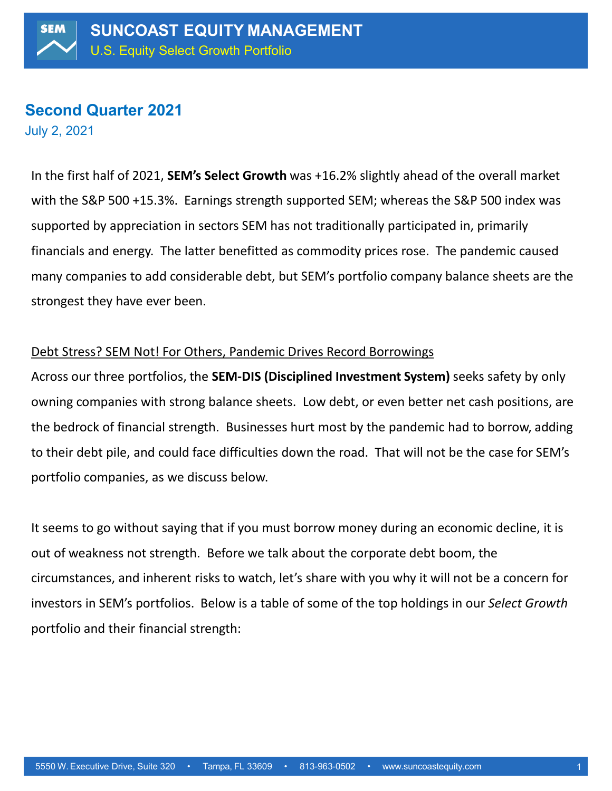# **Second Quarter 2021**

July 2, 2021

In the first half of 2021, **SEM's Select Growth** was +16.2% slightly ahead of the overall market with the S&P 500 +15.3%. Earnings strength supported SEM; whereas the S&P 500 index was supported by appreciation in sectors SEM has not traditionally participated in, primarily financials and energy. The latter benefitted as commodity prices rose. The pandemic caused many companies to add considerable debt, but SEM's portfolio company balance sheets are the strongest they have ever been.

## Debt Stress? SEM Not! For Others, Pandemic Drives Record Borrowings

Across our three portfolios, the **SEM-DIS (Disciplined Investment System)** seeks safety by only owning companies with strong balance sheets. Low debt, or even better net cash positions, are the bedrock of financial strength. Businesses hurt most by the pandemic had to borrow, adding to their debt pile, and could face difficulties down the road. That will not be the case for SEM's portfolio companies, as we discuss below.

It seems to go without saying that if you must borrow money during an economic decline, it is out of weakness not strength. Before we talk about the corporate debt boom, the circumstances, and inherent risks to watch, let's share with you why it will not be a concern for investors in SEM's portfolios. Below is a table of some of the top holdings in our *Select Growth* portfolio and their financial strength: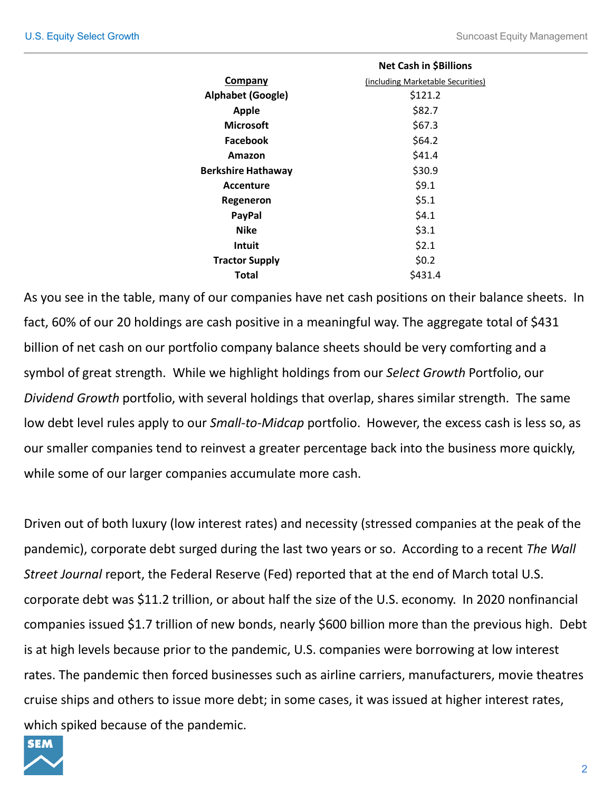|                           | <b>Net Cash in \$Billions</b>     |  |  |
|---------------------------|-----------------------------------|--|--|
| <b>Company</b>            | (including Marketable Securities) |  |  |
| <b>Alphabet (Google)</b>  | \$121.2                           |  |  |
| <b>Apple</b>              | \$82.7                            |  |  |
| <b>Microsoft</b>          | \$67.3                            |  |  |
| Facebook                  | \$64.2                            |  |  |
| Amazon                    | \$41.4                            |  |  |
| <b>Berkshire Hathaway</b> | \$30.9                            |  |  |
| Accenture                 | \$9.1                             |  |  |
| Regeneron                 | \$5.1                             |  |  |
| <b>PayPal</b>             | \$4.1                             |  |  |
| <b>Nike</b>               | \$3.1                             |  |  |
| Intuit                    | \$2.1                             |  |  |
| <b>Tractor Supply</b>     | \$0.2                             |  |  |
| Total                     | \$431.4                           |  |  |

As you see in the table, many of our companies have net cash positions on their balance sheets. In fact, 60% of our 20 holdings are cash positive in a meaningful way. The aggregate total of \$431 billion of net cash on our portfolio company balance sheets should be very comforting and a symbol of great strength. While we highlight holdings from our *Select Growth* Portfolio, our *Dividend Growth* portfolio, with several holdings that overlap, shares similar strength. The same low debt level rules apply to our *Small-to-Midcap* portfolio. However, the excess cash is less so, as our smaller companies tend to reinvest a greater percentage back into the business more quickly, while some of our larger companies accumulate more cash.

Driven out of both luxury (low interest rates) and necessity (stressed companies at the peak of the pandemic), corporate debt surged during the last two years or so. According to a recent *The Wall Street Journal* report, the Federal Reserve (Fed) reported that at the end of March total U.S. corporate debt was \$11.2 trillion, or about half the size of the U.S. economy. In 2020 nonfinancial companies issued \$1.7 trillion of new bonds, nearly \$600 billion more than the previous high. Debt is at high levels because prior to the pandemic, U.S. companies were borrowing at low interest rates. The pandemic then forced businesses such as airline carriers, manufacturers, movie theatres cruise ships and others to issue more debt; in some cases, it was issued at higher interest rates, which spiked because of the pandemic.

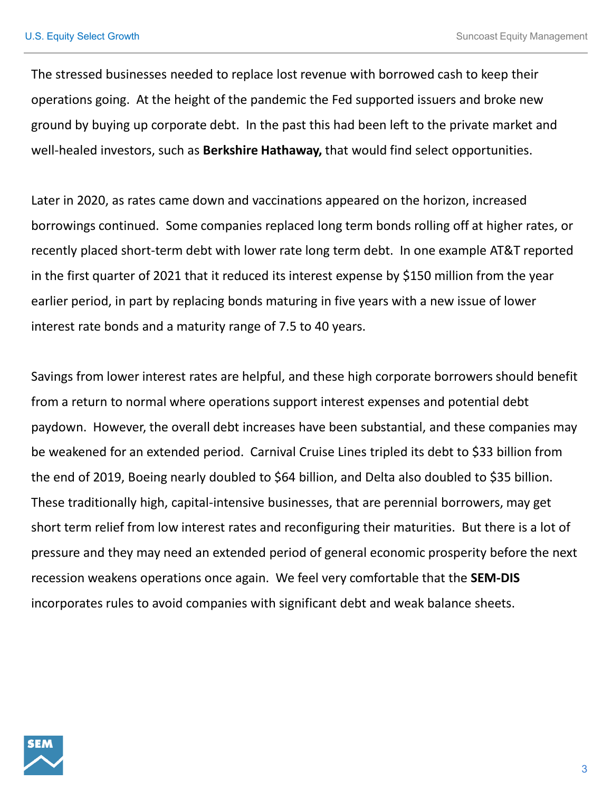The stressed businesses needed to replace lost revenue with borrowed cash to keep their operations going. At the height of the pandemic the Fed supported issuers and broke new ground by buying up corporate debt. In the past this had been left to the private market and well-healed investors, such as **Berkshire Hathaway,** that would find select opportunities.

Later in 2020, as rates came down and vaccinations appeared on the horizon, increased borrowings continued. Some companies replaced long term bonds rolling off at higher rates, or recently placed short-term debt with lower rate long term debt. In one example AT&T reported in the first quarter of 2021 that it reduced its interest expense by \$150 million from the year earlier period, in part by replacing bonds maturing in five years with a new issue of lower interest rate bonds and a maturity range of 7.5 to 40 years.

Savings from lower interest rates are helpful, and these high corporate borrowers should benefit from a return to normal where operations support interest expenses and potential debt paydown. However, the overall debt increases have been substantial, and these companies may be weakened for an extended period. Carnival Cruise Lines tripled its debt to \$33 billion from the end of 2019, Boeing nearly doubled to \$64 billion, and Delta also doubled to \$35 billion. These traditionally high, capital-intensive businesses, that are perennial borrowers, may get short term relief from low interest rates and reconfiguring their maturities. But there is a lot of pressure and they may need an extended period of general economic prosperity before the next recession weakens operations once again. We feel very comfortable that the **SEM-DIS** incorporates rules to avoid companies with significant debt and weak balance sheets.

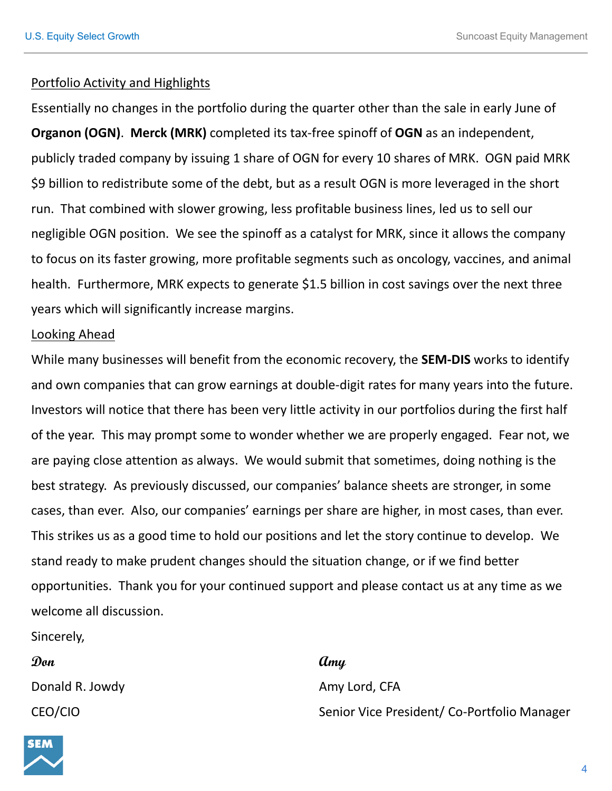### Portfolio Activity and Highlights

Essentially no changes in the portfolio during the quarter other than the sale in early June of **Organon (OGN)**. **Merck (MRK)** completed its tax-free spinoff of **OGN** as an independent, publicly traded company by issuing 1 share of OGN for every 10 shares of MRK. OGN paid MRK \$9 billion to redistribute some of the debt, but as a result OGN is more leveraged in the short run. That combined with slower growing, less profitable business lines, led us to sell our negligible OGN position. We see the spinoff as a catalyst for MRK, since it allows the company to focus on its faster growing, more profitable segments such as oncology, vaccines, and animal health. Furthermore, MRK expects to generate \$1.5 billion in cost savings over the next three years which will significantly increase margins.

### Looking Ahead

While many businesses will benefit from the economic recovery, the **SEM-DIS** works to identify and own companies that can grow earnings at double-digit rates for many years into the future. Investors will notice that there has been very little activity in our portfolios during the first half of the year. This may prompt some to wonder whether we are properly engaged. Fear not, we are paying close attention as always. We would submit that sometimes, doing nothing is the best strategy. As previously discussed, our companies' balance sheets are stronger, in some cases, than ever. Also, our companies' earnings per share are higher, in most cases, than ever. This strikes us as a good time to hold our positions and let the story continue to develop. We stand ready to make prudent changes should the situation change, or if we find better opportunities. Thank you for your continued support and please contact us at any time as we welcome all discussion.

Sincerely,

Donald R. Jowdy **Amy Lord, CFA** 

### **Don Amy**

CEO/CIO Senior Vice President/ Co-Portfolio Manager

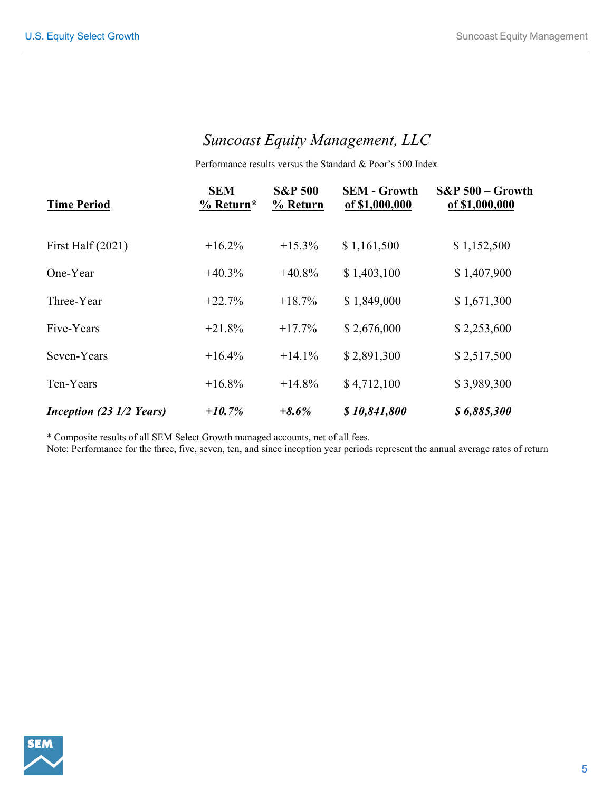## *Suncoast Equity Management, LLC*

Performance results versus the Standard & Poor's 500 Index

| <b>Time Period</b>       | <b>SEM</b><br>$%$ Return* | <b>S&amp;P 500</b><br>% Return | <b>SEM - Growth</b><br>of \$1,000,000 | $S\&P 500 - Growth$<br>of \$1,000,000 |
|--------------------------|---------------------------|--------------------------------|---------------------------------------|---------------------------------------|
| First Half $(2021)$      | $+16.2\%$                 | $+15.3\%$                      | \$1,161,500                           | \$1,152,500                           |
| One-Year                 | $+40.3%$                  | $+40.8\%$                      | \$1,403,100                           | \$1,407,900                           |
| Three-Year               | $+22.7%$                  | $+18.7%$                       | \$1,849,000                           | \$1,671,300                           |
| Five-Years               | $+21.8%$                  | $+17.7%$                       | \$2,676,000                           | \$2,253,600                           |
| Seven-Years              | $+16.4%$                  | $+14.1%$                       | \$2,891,300                           | \$2,517,500                           |
| Ten-Years                | $+16.8\%$                 | $+14.8%$                       | \$4,712,100                           | \$3,989,300                           |
| Inception (23 1/2 Years) | $+10.7%$                  | $+8.6%$                        | \$10,841,800                          | \$6,885,300                           |

\* Composite results of all SEM Select Growth managed accounts, net of all fees.

Note: Performance for the three, five, seven, ten, and since inception year periods represent the annual average rates of return